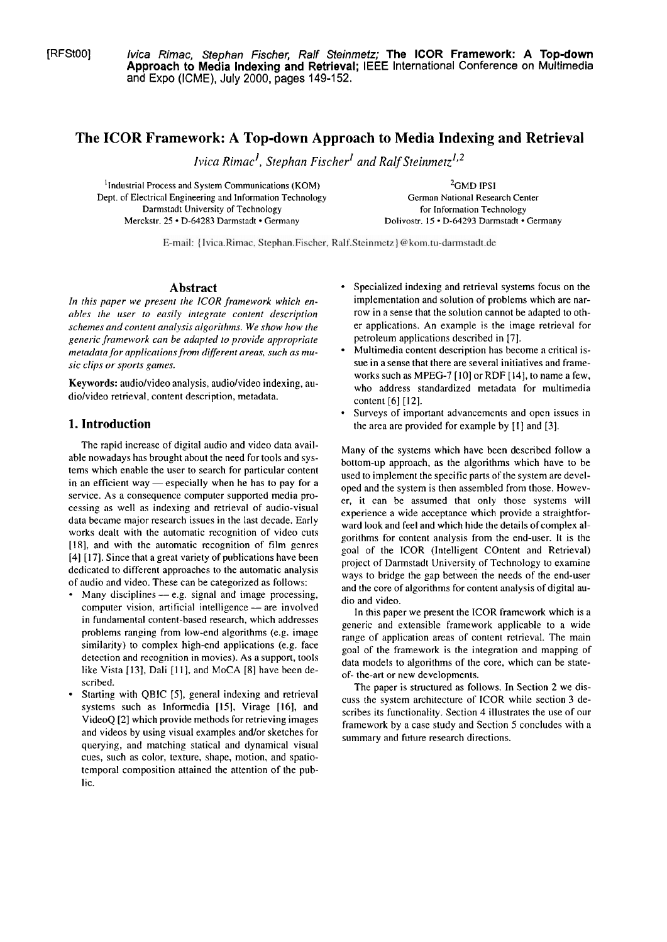Ivica Rimac, Stephan Fischer, Ralf Steinmetz; The ICOR Framework: A Top-down Approach to Media Indexing and Retrieval; IEEE International Conference on Multimedia and Expo (ICME), July 2000, pages 149-152.

# The ICOR Framework: A Top-down Approach to Media Indexing and Retrieval

Ivica Rimac<sup>1</sup>, Stephan Fischer<sup>1</sup> and Ralf Steinmetz<sup>1,2</sup>

<sup>1</sup>Industrial Process and System Communications (KOM) Dept. of Electrical Engineering and Information Technology Darmstadt University of Technology Merckstr. 25 · D-64283 Darmstadt · Germany

<sup>2</sup>GMD IPSI German National Research Center for Information Technology Dolivostr. 15 · D-64293 Darmstadt · Germany

E-mail: {Ivica.Rimac, Stephan.Fischer, Ralf.Steinmetz}@kom.tu-darmstadt.de

#### Abstract

In this paper we present the ICOR framework which enables the user to easily integrate content description schemes and content analysis algorithms. We show how the generic framework can be adapted to provide appropriate metadata for applications from different areas, such as music clips or sports games.

Keywords: audio/video analysis, audio/video indexing, audio/video retrieval, content description, metadata.

### 1. Introduction

The rapid increase of digital audio and video data available nowadays has brought about the need for tools and systems which enable the user to search for particular content in an efficient way — especially when he has to pay for a service. As a consequence computer supported media processing as well as indexing and retrieval of audio-visual data became major research issues in the last decade. Early works dealt with the automatic recognition of video cuts [18], and with the automatic recognition of film genres [4] [17]. Since that a great variety of publications have been dedicated to different approaches to the automatic analysis of audio and video. These can be categorized as follows:

- Many disciplines  $\leftarrow$  e.g. signal and image processing, computer vision, artificial intelligence - are involved in fundamental content-based research, which addresses problems ranging from low-end algorithms (e.g. image similarity) to complex high-end applications (e.g. face detection and recognition in movies). As a support, tools like Vista [13], Dali [11], and MoCA [8] have been described.
- Starting with QBIC [5], general indexing and retrieval systems such as Informedia [15], Virage [16], and VideoQ [2] which provide methods for retrieving images and videos by using visual examples and/or sketches for querying, and matching statical and dynamical visual cues, such as color, texture, shape, motion, and spatiotemporal composition attained the attention of the public.
- Specialized indexing and retrieval systems focus on the implementation and solution of problems which are narrow in a sense that the solution cannot be adapted to other applications. An example is the image retrieval for petroleum applications described in [7].
- Multimedia content description has become a critical issue in a sense that there are several initiatives and frameworks such as MPEG-7 [10] or RDF [14], to name a few, who address standardized metadata for multimedia content [6] [12].
- Surveys of important advancements and open issues in the area are provided for example by [1] and [3].

Many of the systems which have been described follow a bottom-up approach, as the algorithms which have to be used to implement the specific parts of the system are developed and the system is then assembled from those. However, it can be assumed that only those systems will experience a wide acceptance which provide a straightforward look and feel and which hide the details of complex algorithms for content analysis from the end-user. It is the goal of the ICOR (Intelligent COntent and Retrieval) project of Darmstadt University of Technology to examine ways to bridge the gap between the needs of the end-user and the core of algorithms for content analysis of digital audio and video.

In this paper we present the ICOR framework which is a generic and extensible framework applicable to a wide range of application areas of content retrieval. The main goal of the framework is the integration and mapping of data models to algorithms of the core, which can be stateof-the-art or new developments.

The paper is structured as follows. In Section 2 we discuss the system architecture of ICOR while section 3 describes its functionality. Section 4 illustrates the use of our framework by a case study and Section 5 concludes with a summary and future research directions.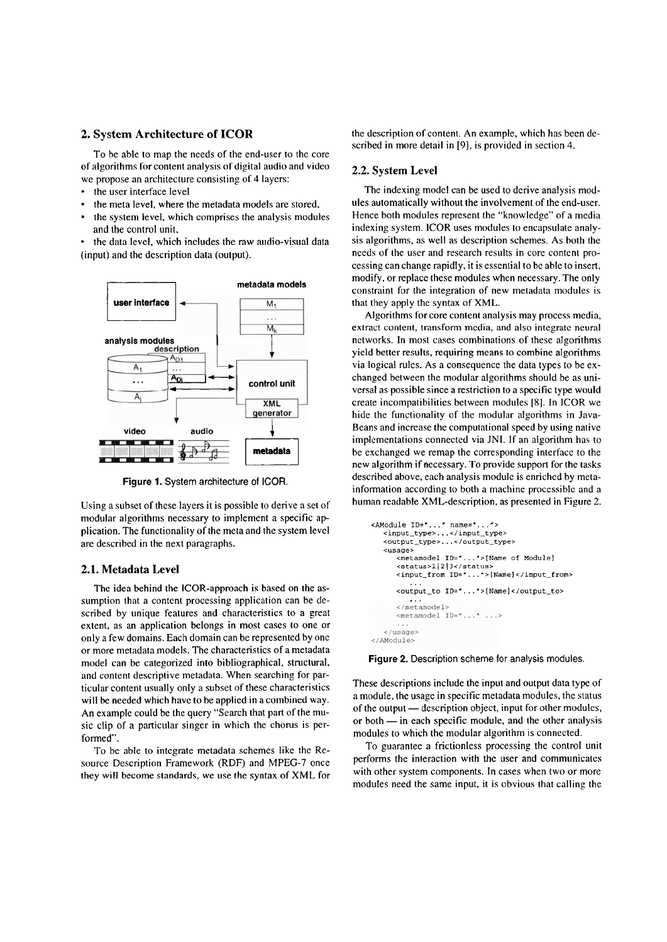## **2. System Architecture of ICOR**

To be able to map the needs of the end-user to the core of algorithms for content analysis of digital audio and video we propose an architecture consisting of 4 laycrs:

- the user interface level
- the meta level, where the metadata models are stored,
- the system level, which comprises the analysis modules and the control unit,

the data level, which includes the raw audio-visual data (input) and the description data (output).



**Figure** 1. System architecture of ICOR.

Using a subset of these layers it is possible to derive a set of modular algorithms necessary to implement a specific ap plication. The functionality of the meta and the system level are described in the next paragraphs.

### **2.1. Metadata Level**

The idea behind the ICOR-approach is based on the assumption that a content processing application can be described by unique features and characteristics to a great extent, as an application belongs in most cases 10 one or only a few domains. Each domain can be represenied by one or more metadata models. The characteristics of a metadata model can be categorized into bibliographical, structural, and content descriptive metadata. When searching for particular content usually only a subset of these characteristics will be needed which have to be applied in a combined way. An example could be the query "Search that part of the music clip of a particular singer in which the chorus is performed".

To be able to integrate metadata schemes like the Resource Description Framework (RDF) and MPEG-7 once they will become standards, we use the syntax of XML for the description of content. An example, which has been described in more detail in [9], is provided in section 4.

#### **2.2. System Level**

The indexing model can be used to derive analysis modules automatically without the involvement of the end-user. Hence both modules represent the "knowledge" of a media indexing system. ICOR uses modules to encapsulate analysis algorithms, as well as description schemes. As both ihe needs of the user and research results in core content processing can change rapidly, it is essential to be able to insert, modify, or replace these modules when necessary. The only constraint for the integration of new metadata modules is that they apply the syntax of XML.

Algorithms for core content analysis may process media, extract content, transform media, and also integrate neural networks. In most cases combinations of these algorithms yield better results, requiring means to combine algorithms via logical rules. As a consequence the data types to be exchanged between the modular algorithms should be as universal as possible since a restriction to a specific type would create incompatibilities between modules 181. In lCOR we hide the functionality of the modular algorithms in Java-Beans and increase the computational speed by using native implementations connected via JNI. If an algorithm has to be exchanged we remap the corresponding interface to the new algorithm if necessary. To provide support for the tasks described above, each analysis module is enriched by metainformation according to both a machine processible and a human rcadable XML-description, as presented in Figure 2.

```
cAModule In=" ...' name=". .."> 
   <input-type> ... c/input-type> 
   <output-type, ... c/output-type> 
   <usage> 
      cmetamodel ID="..:>[Name of Module] 
      <status>ll213</status> 
      cinput-from ID= ...." >[Namel</input-from> 
      ... coutput-to ID=" ..: >INamel</output-to> 
      </metamodel>
      <metamodel ID="..."
   </usage>
</AModule
```
**Figure** 2. Description scherne for analysis modules.

These descriptions include the input and output data type of a module, the usage in specific metadata modules, thc status These descriptions include the input and output data type of<br>a module, the usage in specific metadata modules, the status<br>of the output — description object, input for other modules, of the output — description object, input for other modules, or both — in each specific module, and the other analysis modules to which the modular algorithm is connected.

To guarantee a frictionless processing the control unit performs the interaction with the user and communicates with other system components. In cases when two or more modules need the Same input, it is obvious that calling the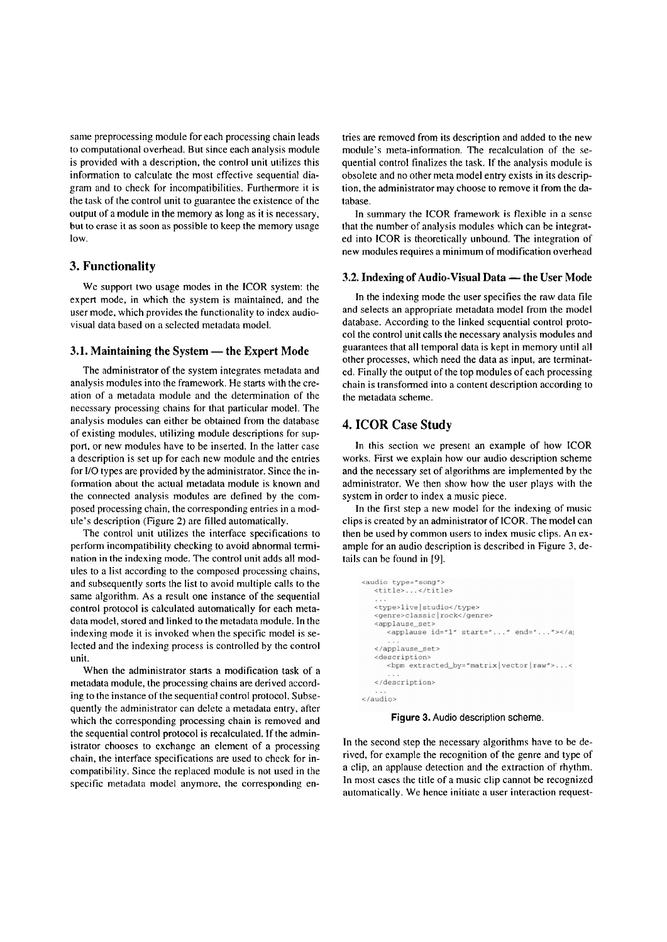same preprocessing module for each processing chain leads to computational overhead. But since each analysis module is provided with a description, the control unit utilizes this information to calculate the most effective sequential diagram and to check for incompatibilities. Furthermore it is the task of the control unit to guarantee the existence of the output of a module in the memory as long as it is necessary, but to erase it as soon as possible to keep the memory usage low.

## **3. Functionality**

We support two usage modes in the ICOR system: the expert mode, in which the system is maintained, and the user mode, which provides the functionality to index audiovisual data based on a sclected metadata model.

### **3.1. Maintaining the System — the Expert Mode**

The administrator of the system integrates metadata and analysis modules into the framework. He starts with the creation of a metadata module and the determination of the necessary processing chains for that particular model. The analysis modules can either be obtained from the database of existing modules, utilizing module descriptions for support, or new modules have to be inserted. In the latter case a description is set up for each new module and the entries for I/O types are provided by the administrator. Since the information about the actual metadata module is known and the connected analysis modules are defined by the composed processing chain, the corresponding entries in a module's description (Figure 2) are filled automatically.

The control unit utilizes the interface specifications to perform incompatibility checking to avoid abnormal termination in the indcxing mode. The control unit adds all modules to a list according to the composed processing chains, and subsequently sorts the list to avoid multiple calls to the same algorithm. As a result one instance of the sequential control protocol is calculated automatically for each metadata model, stored and linked to the metadata module. In the indexing mode it is invoked when the specific model is selected and the indexing process is controlled by ihe control unit.

When the administrator starts a modification task of a metadata module, the processing chains are derived according to the instance of the sequential control protocol. Subsequently the administrator can delete a metadata entry, after which the corresponding processing chain is removed and the sequential control protocol is recalculated. If the administrator chooses to exchange an element of a processing chain, the interface specifications are used to check for incompatibility. Sincc the replaced module is not used in the specific metadata model anymore, the corresponding en-

tries are removed from its description and added to the new module's meta-information. The recalculation of the sequential control finalizes the task. If the analysis module is obsolete and no other meta model entry exists in its description, the administrator may choose to remove it from the database.

In Summary the ICOR framework is flexible in a sensc that the number of analysis rnodules which can be integrated into ICOR is theoretically unbound. The integration of new modules requires a minimum of modification overhead

#### **3.2. Indexing of Audio-Visual Data — the User Mode**

In the indexing mode the user specifies the raw data file and selects an appropriate metadata model from the model database. According to the linked sequential control protocol the control unit calls the necessary analysis modules and guarantees that all temporal data is kept in memory until all other processes, which need the data as input, are terminated. Finally the output of the top modules of each processing chain is transformed into a content description according to the metadata scheme.

## **4. ICOR Case Study**

In this section we present an example of how ICOR works. First we explain how our audio description scheme and the necessary set of algorithms are implemented by the administrator. We then show how the user plays with the system in order to index a music piece.

In the first step a new model for the indexing of music clips is created by an adrninistrator of ICOR. The model can then be used by common users to index music clips. An example for an audio description is described in Figure **3,** details can be found in [9].

```
<audio type="song";
  <title>...</title>
  <type>live|studio</type>
  <genre>classic | rock</genre>
  <applause_set>
     <applause id="1" start="..." end="..."></a)
  </applause_set>
  <description>
     </description>
\frac{1}{2}
```
**Figure 3.** Audio description scheme.

In the second step the necessary algorithms have to be derived, for example the recognition of the genre and type of a clip, an applause detection and the extraction of rhythm. In most cases the title of a music clip cannot be recognized automatically. We hence initiate a user interaction request